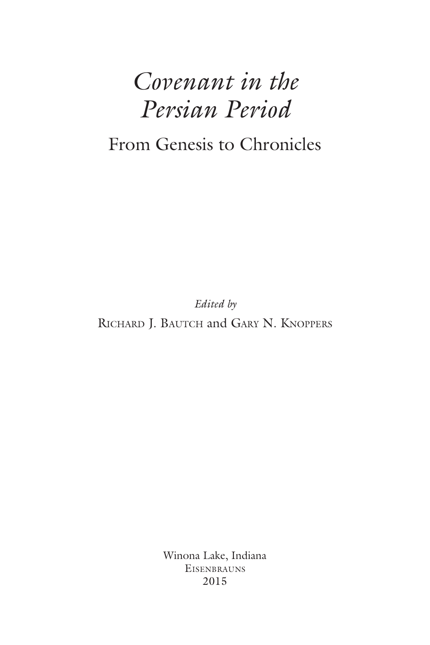# *Covenant in the Persian Period*

# From Genesis to Chronicles

*Edited by*

RICHARD J. BAUTCH and GARY N. KNOPPERS

Winona Lake, Indiana **EISENBRAUNS** 2015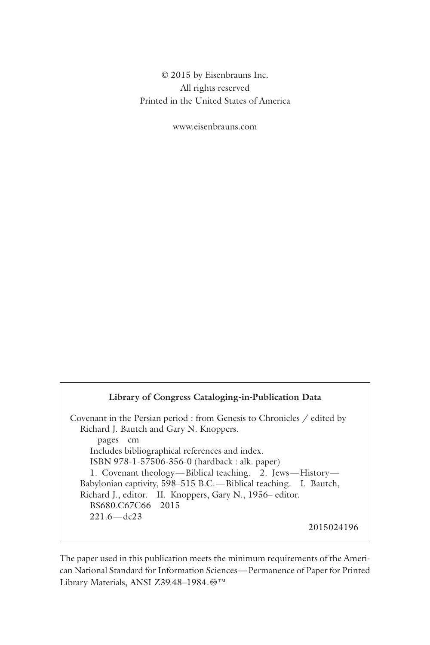© 2015 by Eisenbrauns Inc. All rights reserved Printed in the United States of America

www.eisenbrauns.com

#### **Library of Congress Cataloging-in-Publication Data**

Covenant in the Persian period : from Genesis to Chronicles / edited by Richard J. Bautch and Gary N. Knoppers. pages cm Includes bibliographical references and index. ISBN 978-1-57506-356-0 (hardback : alk. paper) 1. Covenant theology—Biblical teaching. 2. Jews—History— Babylonian captivity, 598–515 B.C.—Biblical teaching. I. Bautch, Richard J., editor. II. Knoppers, Gary N., 1956– editor. BS680.C67C66 2015 221.6—dc23 2015024196

The paper used in this publication meets the minimum requirements of the American National Standard for Information Sciences—Permanence of Paper for Printed Library Materials, ANSI Z39.48-1984.<sup>⊗™</sup>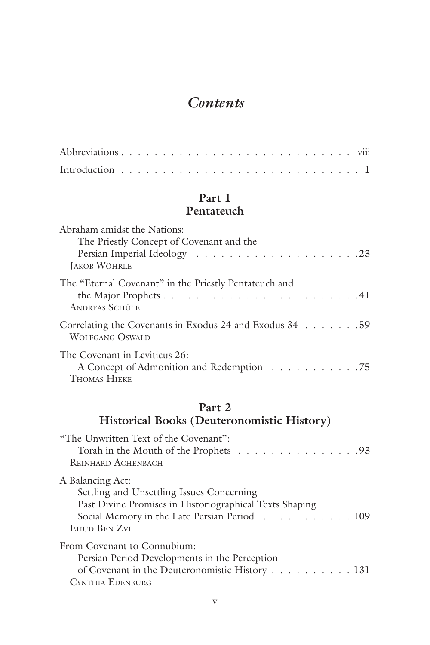## *Contents*

# **Part 1**

## **Pentateuch**

| Abraham amidst the Nations:                                                                       |
|---------------------------------------------------------------------------------------------------|
| The Priestly Concept of Covenant and the<br><b>JAKOB WÖHRLE</b>                                   |
| The "Eternal Covenant" in the Priestly Pentateuch and<br><b>ANDREAS SCHÜLE</b>                    |
| WOLFGANG OSWALD                                                                                   |
| The Covenant in Leviticus 26:<br>A Concept of Admonition and Redemption 75<br><b>THOMAS HIEKE</b> |

## **Part 2**

## **Historical Books (Deuteronomistic History)**

| "The Unwritten Text of the Covenant":<br>Torah in the Mouth of the Prophets 93<br><b>REINHARD ACHENBACH</b>                                                                              |
|------------------------------------------------------------------------------------------------------------------------------------------------------------------------------------------|
| A Balancing Act:<br>Settling and Unsettling Issues Concerning<br>Past Divine Promises in Historiographical Texts Shaping<br>Social Memory in the Late Persian Period 109<br>EHUD BEN ZVI |
| From Covenant to Connubium:<br>Persian Period Developments in the Perception<br>of Covenant in the Deuteronomistic History 131<br><b>CYNTHIA EDENBURG</b>                                |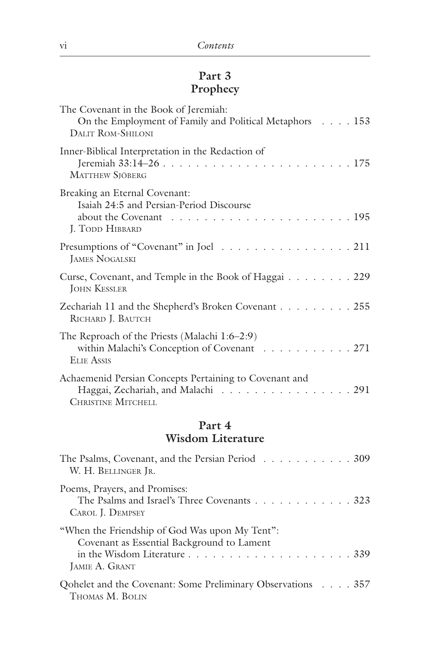## **Part 3 Prophecy**

| The Covenant in the Book of Jeremiah:<br>On the Employment of Family and Political Metaphors 153<br><b>DALIT ROM-SHILONI</b>                                                     |
|----------------------------------------------------------------------------------------------------------------------------------------------------------------------------------|
| Inner-Biblical Interpretation in the Redaction of<br><b>MATTHEW STÖBERG</b>                                                                                                      |
| Breaking an Eternal Covenant:<br>Isaiah 24:5 and Persian-Period Discourse<br>about the Covenant $\ldots \ldots \ldots \ldots \ldots \ldots \ldots \ldots 195$<br>J. TODD HIBBARD |
| Presumptions of "Covenant" in Joel 211<br><b>JAMES NOGALSKI</b>                                                                                                                  |
| Curse, Covenant, and Temple in the Book of Haggai 229<br><b>JOHN KESSLER</b>                                                                                                     |
| Zechariah 11 and the Shepherd's Broken Covenant 255<br>RICHARD J. BAUTCH                                                                                                         |
| The Reproach of the Priests (Malachi 1:6–2:9)<br>within Malachi's Conception of Covenant 271<br><b>ELIE ASSIS</b>                                                                |
| Achaemenid Persian Concepts Pertaining to Covenant and<br>Haggai, Zechariah, and Malachi 291<br>CHRISTINE MITCHELL                                                               |
| Part 4                                                                                                                                                                           |

## **Wisdom Literature**

| The Psalms, Covenant, and the Persian Period 309<br>W. H. BELLINGER JR.                                        |
|----------------------------------------------------------------------------------------------------------------|
| Poems, Prayers, and Promises:<br>The Psalms and Israel's Three Covenants 323<br>CAROL J. DEMPSEY               |
| "When the Friendship of God Was upon My Tent":<br>Covenant as Essential Background to Lament<br>JAMIE A. GRANT |
| Qohelet and the Covenant: Some Preliminary Observations 357<br>THOMAS M. BOLIN                                 |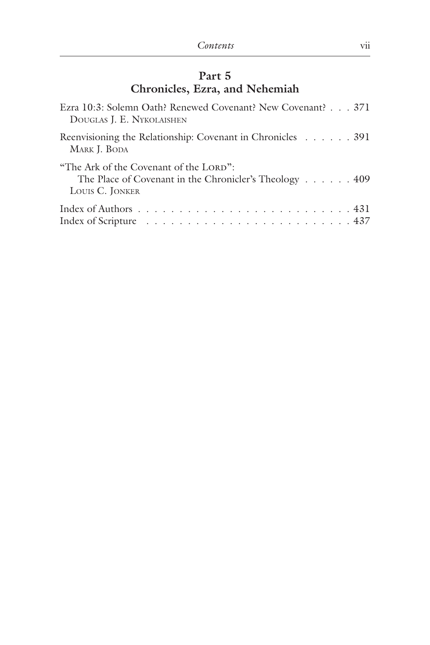### **Part 5 Chronicles, Ezra, and Nehemiah**

| Ezra 10:3: Solemn Oath? Renewed Covenant? New Covenant? 371<br>DOUGLAS J. E. NYKOLAISHEN                            |  |
|---------------------------------------------------------------------------------------------------------------------|--|
| Reenvisioning the Relationship: Covenant in Chronicles 391<br>MARK J. BODA                                          |  |
| "The Ark of the Covenant of the LORD":<br>The Place of Covenant in the Chronicler's Theology 409<br>LOUIS C. JONKER |  |
|                                                                                                                     |  |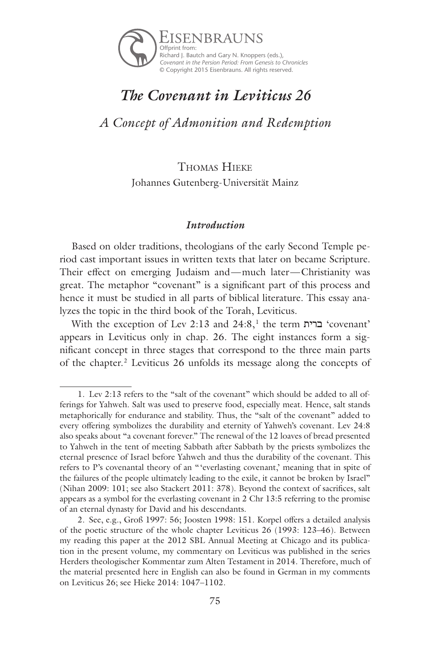

# *The Covenant in Leviticus 26*

## *A Concept of Admonition and Redemption*

Thomas Hieke Johannes Gutenberg-Universität Mainz

#### *Introduction*

Based on older traditions, theologians of the early Second Temple period cast important issues in written texts that later on became Scripture. Their effect on emerging Judaism and—much later—Christianity was great. The metaphor "covenant" is a significant part of this process and hence it must be studied in all parts of biblical literature. This essay analyzes the topic in the third book of the Torah, Leviticus.

With the exception of Lev 2:13 and  $24:8$ ,<sup>1</sup> the term ברית 'covenant' appears in Leviticus only in chap. 26. The eight instances form a significant concept in three stages that correspond to the three main parts of the chapter.2 Leviticus 26 unfolds its message along the concepts of

<sup>1.</sup> Lev 2:13 refers to the "salt of the covenant" which should be added to all offerings for Yahweh. Salt was used to preserve food, especially meat. Hence, salt stands metaphorically for endurance and stability. Thus, the "salt of the covenant" added to every offering symbolizes the durability and eternity of Yahweh's covenant. Lev 24:8 also speaks about "a covenant forever." The renewal of the 12 loaves of bread presented to Yahweh in the tent of meeting Sabbath after Sabbath by the priests symbolizes the eternal presence of Israel before Yahweh and thus the durability of the covenant. This refers to P's covenantal theory of an "'everlasting covenant,' meaning that in spite of the failures of the people ultimately leading to the exile, it cannot be broken by Israel" (Nihan 2009: 101; see also Stackert 2011: 378). Beyond the context of sacrifices, salt appears as a symbol for the everlasting covenant in 2 Chr 13:5 referring to the promise of an eternal dynasty for David and his descendants.

<sup>2.</sup> See, e.g., Groß 1997: 56; Joosten 1998: 151. Korpel offers a detailed analysis of the poetic structure of the whole chapter Leviticus 26 (1993: 123–46). Between my reading this paper at the 2012 SBL Annual Meeting at Chicago and its publication in the present volume, my commentary on Leviticus was published in the series Herders theologischer Kommentar zum Alten Testament in 2014. Therefore, much of the material presented here in English can also be found in German in my comments on Leviticus 26; see Hieke 2014: 1047–1102.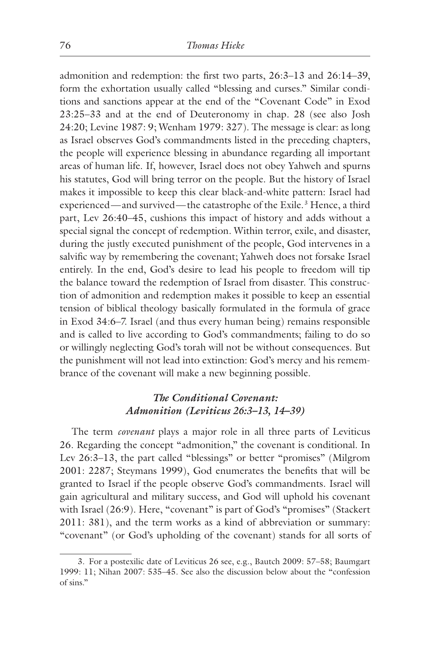admonition and redemption: the first two parts, 26:3–13 and 26:14–39, form the exhortation usually called "blessing and curses." Similar conditions and sanctions appear at the end of the "Covenant Code" in Exod 23:25–33 and at the end of Deuteronomy in chap. 28 (see also Josh 24:20; Levine 1987: 9; Wenham 1979: 327). The message is clear: as long as Israel observes God's commandments listed in the preceding chapters, the people will experience blessing in abundance regarding all important areas of human life. If, however, Israel does not obey Yahweh and spurns his statutes, God will bring terror on the people. But the history of Israel makes it impossible to keep this clear black-and-white pattern: Israel had experienced—and survived—the catastrophe of the Exile.<sup>3</sup> Hence, a third part, Lev 26:40–45, cushions this impact of history and adds without a special signal the concept of redemption. Within terror, exile, and disaster, during the justly executed punishment of the people, God intervenes in a salvific way by remembering the covenant; Yahweh does not forsake Israel entirely. In the end, God's desire to lead his people to freedom will tip the balance toward the redemption of Israel from disaster. This construction of admonition and redemption makes it possible to keep an essential tension of biblical theology basically formulated in the formula of grace in Exod 34:6–7. Israel (and thus every human being) remains responsible and is called to live according to God's commandments; failing to do so or willingly neglecting God's torah will not be without consequences. But the punishment will not lead into extinction: God's mercy and his remembrance of the covenant will make a new beginning possible.

#### *The Conditional Covenant: Admonition (Leviticus 26:3–13, 14–39)*

The term *covenant* plays a major role in all three parts of Leviticus 26. Regarding the concept "admonition," the covenant is conditional. In Lev 26:3–13, the part called "blessings" or better "promises" (Milgrom 2001: 2287; Steymans 1999), God enumerates the benefits that will be granted to Israel if the people observe God's commandments. Israel will gain agricultural and military success, and God will uphold his covenant with Israel (26:9). Here, "covenant" is part of God's "promises" (Stackert 2011: 381), and the term works as a kind of abbreviation or summary: "covenant" (or God's upholding of the covenant) stands for all sorts of

<sup>3.</sup> For a postexilic date of Leviticus 26 see, e.g., Bautch 2009: 57–58; Baumgart 1999: 11; Nihan 2007: 535–45. See also the discussion below about the "confession of sins."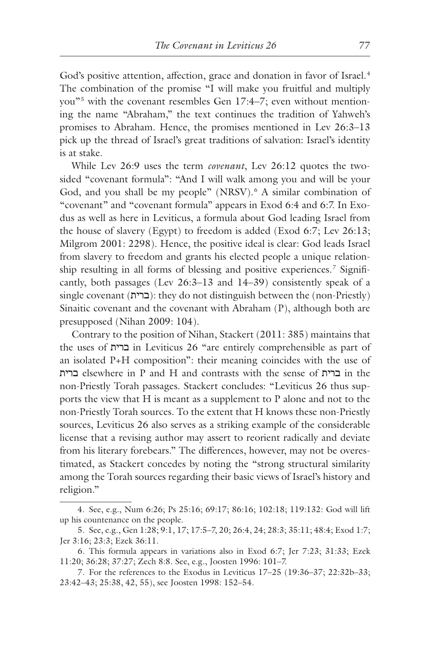God's positive attention, affection, grace and donation in favor of Israel.<sup>4</sup> The combination of the promise "I will make you fruitful and multiply you"5 with the covenant resembles Gen 17:4–7; even without mentioning the name "Abraham," the text continues the tradition of Yahweh's promises to Abraham. Hence, the promises mentioned in Lev 26:3–13 pick up the thread of Israel's great traditions of salvation: Israel's identity is at stake.

While Lev 26:9 uses the term *covenant*, Lev 26:12 quotes the twosided "covenant formula": "And I will walk among you and will be your God, and you shall be my people" (NRSV).<sup>6</sup> A similar combination of "covenant" and "covenant formula" appears in Exod 6:4 and 6:7. In Exodus as well as here in Leviticus, a formula about God leading Israel from the house of slavery (Egypt) to freedom is added (Exod 6:7; Lev 26:13; Milgrom 2001: 2298). Hence, the positive ideal is clear: God leads Israel from slavery to freedom and grants his elected people a unique relationship resulting in all forms of blessing and positive experiences.<sup>7</sup> Significantly, both passages (Lev 26:3–13 and 14–39) consistently speak of a  $\phi$  (ברית): they do not distinguish between the (non-Priestly) Sinaitic covenant and the covenant with Abraham (P), although both are presupposed (Nihan 2009: 104).

Contrary to the position of Nihan, Stackert (2011: 385) maintains that the uses of ברית in Leviticus 26 "are entirely comprehensible as part of an isolated P+H composition": their meaning coincides with the use of ברית elsewhere in P and H and contrasts with the sense of ברית in the non-Priestly Torah passages. Stackert concludes: "Leviticus 26 thus supports the view that H is meant as a supplement to P alone and not to the non-Priestly Torah sources. To the extent that H knows these non-Priestly sources, Leviticus 26 also serves as a striking example of the considerable license that a revising author may assert to reorient radically and deviate from his literary forebears." The differences, however, may not be overestimated, as Stackert concedes by noting the "strong structural similarity among the Torah sources regarding their basic views of Israel's history and religion."

<sup>4.</sup> See, e.g., Num 6:26; Ps 25:16; 69:17; 86:16; 102:18; 119:132: God will lift up his countenance on the people.

<sup>5.</sup> See, e.g., Gen 1:28; 9:1, 17; 17:5–7, 20; 26:4, 24; 28:3; 35:11; 48:4; Exod 1:7; Jer 3:16; 23:3; Ezek 36:11.

<sup>6.</sup> This formula appears in variations also in Exod 6:7; Jer 7:23; 31:33; Ezek 11:20; 36:28; 37:27; Zech 8:8. See, e.g., Joosten 1996: 101–7.

<sup>7.</sup> For the references to the Exodus in Leviticus 17–25 (19:36–37; 22:32b–33; 23:42–43; 25:38, 42, 55), see Joosten 1998: 152–54.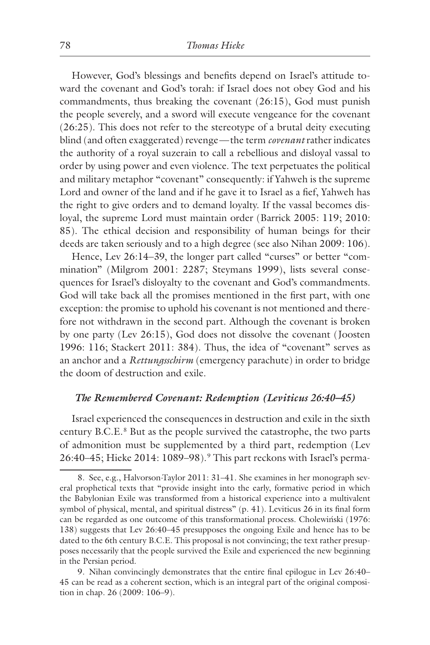However, God's blessings and benefits depend on Israel's attitude toward the covenant and God's torah: if Israel does not obey God and his commandments, thus breaking the covenant (26:15), God must punish the people severely, and a sword will execute vengeance for the covenant (26:25). This does not refer to the stereotype of a brutal deity executing blind (and often exaggerated) revenge—the term *covenant* rather indicates the authority of a royal suzerain to call a rebellious and disloyal vassal to order by using power and even violence. The text perpetuates the political and military metaphor "covenant" consequently: if Yahweh is the supreme Lord and owner of the land and if he gave it to Israel as a fief, Yahweh has the right to give orders and to demand loyalty. If the vassal becomes disloyal, the supreme Lord must maintain order (Barrick 2005: 119; 2010: 85). The ethical decision and responsibility of human beings for their deeds are taken seriously and to a high degree (see also Nihan 2009: 106).

Hence, Lev 26:14–39, the longer part called "curses" or better "commination" (Milgrom 2001: 2287; Steymans 1999), lists several consequences for Israel's disloyalty to the covenant and God's commandments. God will take back all the promises mentioned in the first part, with one exception: the promise to uphold his covenant is not mentioned and therefore not withdrawn in the second part. Although the covenant is broken by one party (Lev 26:15), God does not dissolve the covenant (Joosten 1996: 116; Stackert 2011: 384). Thus, the idea of "covenant" serves as an anchor and a *Rettungsschirm* (emergency parachute) in order to bridge the doom of destruction and exile.

#### *The Remembered Covenant: Redemption (Leviticus 26:40–45)*

Israel experienced the consequences in destruction and exile in the sixth century B.C.E.<sup>8</sup> But as the people survived the catastrophe, the two parts of admonition must be supplemented by a third part, redemption (Lev 26:40–45; Hieke 2014: 1089–98).9 This part reckons with Israel's perma-

<sup>8.</sup> See, e.g., Halvorson-Taylor 2011: 31–41. She examines in her monograph several prophetical texts that "provide insight into the early, formative period in which the Babylonian Exile was transformed from a historical experience into a multivalent symbol of physical, mental, and spiritual distress" (p. 41). Leviticus 26 in its final form can be regarded as one outcome of this transformational process. Cholewiński (1976: 138) suggests that Lev 26:40–45 presupposes the ongoing Exile and hence has to be dated to the 6th century B.C.E. This proposal is not convincing; the text rather presupposes necessarily that the people survived the Exile and experienced the new beginning in the Persian period.

<sup>9.</sup> Nihan convincingly demonstrates that the entire final epilogue in Lev 26:40– 45 can be read as a coherent section, which is an integral part of the original composition in chap. 26 (2009: 106–9).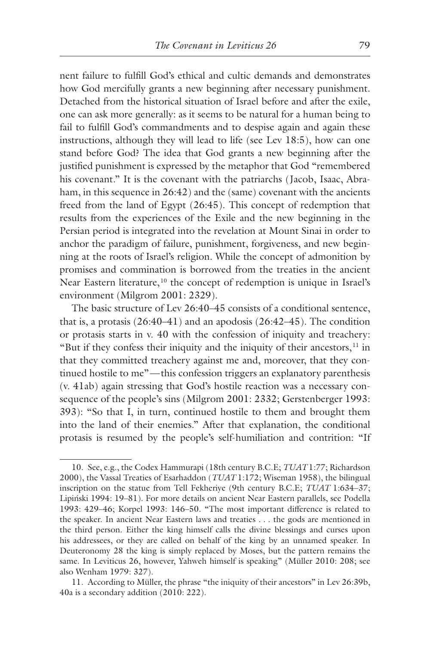nent failure to fulfill God's ethical and cultic demands and demonstrates how God mercifully grants a new beginning after necessary punishment. Detached from the historical situation of Israel before and after the exile, one can ask more generally: as it seems to be natural for a human being to fail to fulfill God's commandments and to despise again and again these instructions, although they will lead to life (see Lev 18:5), how can one stand before God? The idea that God grants a new beginning after the justified punishment is expressed by the metaphor that God "remembered his covenant." It is the covenant with the patriarchs (Jacob, Isaac, Abraham, in this sequence in 26:42) and the (same) covenant with the ancients freed from the land of Egypt (26:45). This concept of redemption that results from the experiences of the Exile and the new beginning in the Persian period is integrated into the revelation at Mount Sinai in order to anchor the paradigm of failure, punishment, forgiveness, and new beginning at the roots of Israel's religion. While the concept of admonition by promises and commination is borrowed from the treaties in the ancient Near Eastern literature,<sup>10</sup> the concept of redemption is unique in Israel's environment (Milgrom 2001: 2329).

The basic structure of Lev 26:40–45 consists of a conditional sentence, that is, a protasis (26:40–41) and an apodosis (26:42–45). The condition or protasis starts in v. 40 with the confession of iniquity and treachery: "But if they confess their iniquity and the iniquity of their ancestors, $<sup>11</sup>$  in</sup> that they committed treachery against me and, moreover, that they continued hostile to me"—this confession triggers an explanatory parenthesis (v. 41ab) again stressing that God's hostile reaction was a necessary consequence of the people's sins (Milgrom 2001: 2332; Gerstenberger 1993: 393): "So that I, in turn, continued hostile to them and brought them into the land of their enemies." After that explanation, the conditional protasis is resumed by the people's self-humiliation and contrition: "If

<sup>10.</sup> See, e.g., the Codex Hammurapi (18th century B.C.E; *TUAT* 1:77; Richardson 2000), the Vassal Treaties of Esarhaddon (*TUAT* 1:172; Wiseman 1958), the bilingual inscription on the statue from Tell Fekheriye (9th century B.C.E; *TUAT* 1:634–37; Lipiński 1994: 19–81). For more details on ancient Near Eastern parallels, see Podella 1993: 429–46; Korpel 1993: 146–50. "The most important difference is related to the speaker. In ancient Near Eastern laws and treaties . . . the gods are mentioned in the third person. Either the king himself calls the divine blessings and curses upon his addressees, or they are called on behalf of the king by an unnamed speaker. In Deuteronomy 28 the king is simply replaced by Moses, but the pattern remains the same. In Leviticus 26, however, Yahweh himself is speaking" (Müller 2010: 208; see also Wenham 1979: 327).

<sup>11.</sup> According to Müller, the phrase "the iniquity of their ancestors" in Lev 26:39b, 40a is a secondary addition (2010: 222).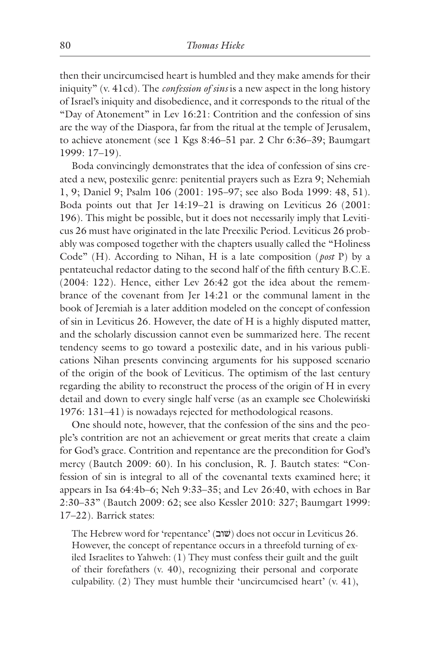then their uncircumcised heart is humbled and they make amends for their iniquity" (v. 41cd). The *confession of sins* is a new aspect in the long history of Israel's iniquity and disobedience, and it corresponds to the ritual of the "Day of Atonement" in Lev 16:21: Contrition and the confession of sins are the way of the Diaspora, far from the ritual at the temple of Jerusalem, to achieve atonement (see 1 Kgs 8:46–51 par. 2 Chr 6:36–39; Baumgart 1999: 17–19).

Boda convincingly demonstrates that the idea of confession of sins created a new, postexilic genre: penitential prayers such as Ezra 9; Nehemiah 1, 9; Daniel 9; Psalm 106 (2001: 195–97; see also Boda 1999: 48, 51). Boda points out that Jer 14:19–21 is drawing on Leviticus 26 (2001: 196). This might be possible, but it does not necessarily imply that Leviticus 26 must have originated in the late Preexilic Period. Leviticus 26 probably was composed together with the chapters usually called the "Holiness Code" (H). According to Nihan, H is a late composition (*post* P) by a pentateuchal redactor dating to the second half of the fifth century B.C.E. (2004: 122). Hence, either Lev 26:42 got the idea about the remembrance of the covenant from Jer 14:21 or the communal lament in the book of Jeremiah is a later addition modeled on the concept of confession of sin in Leviticus 26. However, the date of H is a highly disputed matter, and the scholarly discussion cannot even be summarized here. The recent tendency seems to go toward a postexilic date, and in his various publications Nihan presents convincing arguments for his supposed scenario of the origin of the book of Leviticus. The optimism of the last century regarding the ability to reconstruct the process of the origin of H in every detail and down to every single half verse (as an example see Cholewiński 1976: 131–41) is nowadays rejected for methodological reasons.

One should note, however, that the confession of the sins and the people's contrition are not an achievement or great merits that create a claim for God's grace. Contrition and repentance are the precondition for God's mercy (Bautch 2009: 60). In his conclusion, R. J. Bautch states: "Confession of sin is integral to all of the covenantal texts examined here; it appears in Isa 64:4b–6; Neh 9:33–35; and Lev 26:40, with echoes in Bar 2:30–33" (Bautch 2009: 62; see also Kessler 2010: 327; Baumgart 1999: 17–22). Barrick states:

The Hebrew word for 'repentance' (שוב) does not occur in Leviticus 26. However, the concept of repentance occurs in a threefold turning of exiled Israelites to Yahweh: (1) They must confess their guilt and the guilt of their forefathers (v. 40), recognizing their personal and corporate culpability. (2) They must humble their 'uncircumcised heart' (v. 41),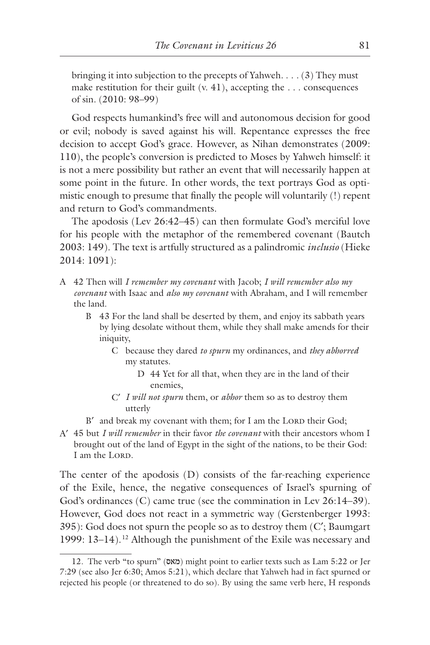bringing it into subjection to the precepts of Yahweh. . . . (3) They must make restitution for their guilt (v. 41), accepting the ... consequences of sin. (2010: 98–99)

God respects humankind's free will and autonomous decision for good or evil; nobody is saved against his will. Repentance expresses the free decision to accept God's grace. However, as Nihan demonstrates (2009: 110), the people's conversion is predicted to Moses by Yahweh himself: it is not a mere possibility but rather an event that will necessarily happen at some point in the future. In other words, the text portrays God as optimistic enough to presume that finally the people will voluntarily (!) repent and return to God's commandments.

The apodosis (Lev 26:42–45) can then formulate God's merciful love for his people with the metaphor of the remembered covenant (Bautch 2003: 149). The text is artfully structured as a palindromic *inclusio* (Hieke 2014: 1091):

- A 42 Then will *I remember my covenant* with Jacob; *I will remember also my covenant* with Isaac and *also my covenant* with Abraham, and I will remember the land.
	- B 43 For the land shall be deserted by them, and enjoy its sabbath years by lying desolate without them, while they shall make amends for their iniquity,
		- C because they dared *to spurn* my ordinances, and *they abhorred* my statutes.
			- D 44 Yet for all that, when they are in the land of their enemies,
		- Cʹ *I will not spurn* them, or *abhor* them so as to destroy them utterly
	- B' and break my covenant with them; for I am the LORD their God;
- Aʹ 45 but *I will remember* in their favor *the covenant* with their ancestors whom I brought out of the land of Egypt in the sight of the nations, to be their God: I am the LORD.

The center of the apodosis (D) consists of the far-reaching experience of the Exile, hence, the negative consequences of Israel's spurning of God's ordinances (C) came true (see the commination in Lev 26:14–39). However, God does not react in a symmetric way (Gerstenberger 1993:  $395$ ): God does not spurn the people so as to destroy them  $(C;$  Baumgart 1999: 13-14).<sup>12</sup> Although the punishment of the Exile was necessary and

<sup>12.</sup> The verb "to spurn" (מאס) might point to earlier texts such as Lam 5:22 or Jer 7:29 (see also Jer 6:30; Amos 5:21), which declare that Yahweh had in fact spurned or rejected his people (or threatened to do so). By using the same verb here, H responds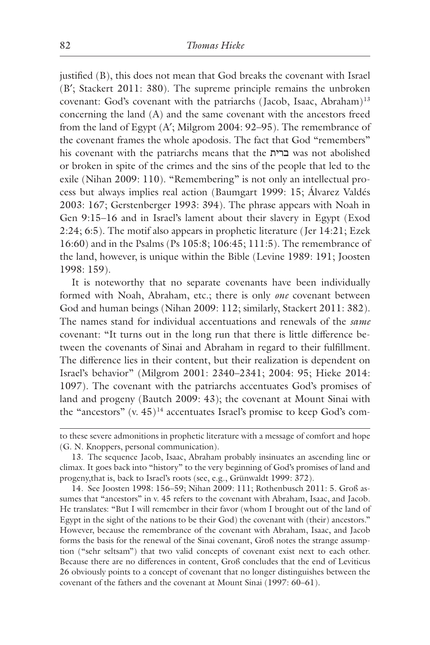justified (B), this does not mean that God breaks the covenant with Israel (B′; Stackert 2011: 380). The supreme principle remains the unbroken covenant: God's covenant with the patriarchs (Jacob, Isaac, Abraham)<sup>13</sup> concerning the land (A) and the same covenant with the ancestors freed from the land of Egypt (A′; Milgrom 2004: 92–95). The remembrance of the covenant frames the whole apodosis. The fact that God "remembers" his covenant with the patriarchs means that the ברית was not abolished or broken in spite of the crimes and the sins of the people that led to the exile (Nihan 2009: 110). "Remembering" is not only an intellectual process but always implies real action (Baumgart 1999: 15; Álvarez Valdés 2003: 167; Gerstenberger 1993: 394). The phrase appears with Noah in Gen 9:15–16 and in Israel's lament about their slavery in Egypt (Exod 2:24; 6:5). The motif also appears in prophetic literature (Jer 14:21; Ezek 16:60) and in the Psalms (Ps 105:8; 106:45; 111:5). The remembrance of the land, however, is unique within the Bible (Levine 1989: 191; Joosten 1998: 159).

It is noteworthy that no separate covenants have been individually formed with Noah, Abraham, etc.; there is only *one* covenant between God and human beings (Nihan 2009: 112; similarly, Stackert 2011: 382). The names stand for individual accentuations and renewals of the *same* covenant: "It turns out in the long run that there is little difference between the covenants of Sinai and Abraham in regard to their fulfillment. The difference lies in their content, but their realization is dependent on Israel's behavior" (Milgrom 2001: 2340–2341; 2004: 95; Hieke 2014: 1097). The covenant with the patriarchs accentuates God's promises of land and progeny (Bautch 2009: 43); the covenant at Mount Sinai with the "ancestors"  $(v. 45)^{14}$  accentuates Israel's promise to keep God's com-

to these severe admonitions in prophetic literature with a message of comfort and hope (G. N. Knoppers, personal communication).

<sup>13.</sup> The sequence Jacob, Isaac, Abraham probably insinuates an ascending line or climax. It goes back into "history" to the very beginning of God's promises of land and progeny,that is, back to Israel's roots (see, e.g., Grünwaldt 1999: 372).

<sup>14.</sup> See Joosten 1998: 156–59; Nihan 2009: 111; Rothenbusch 2011: 5. Groß assumes that "ancestors" in v. 45 refers to the covenant with Abraham, Isaac, and Jacob. He translates: "But I will remember in their favor (whom I brought out of the land of Egypt in the sight of the nations to be their God) the covenant with (their) ancestors." However, because the remembrance of the covenant with Abraham, Isaac, and Jacob forms the basis for the renewal of the Sinai covenant, Groß notes the strange assumption ("sehr seltsam") that two valid concepts of covenant exist next to each other. Because there are no differences in content, Groß concludes that the end of Leviticus 26 obviously points to a concept of covenant that no longer distinguishes between the covenant of the fathers and the covenant at Mount Sinai (1997: 60–61).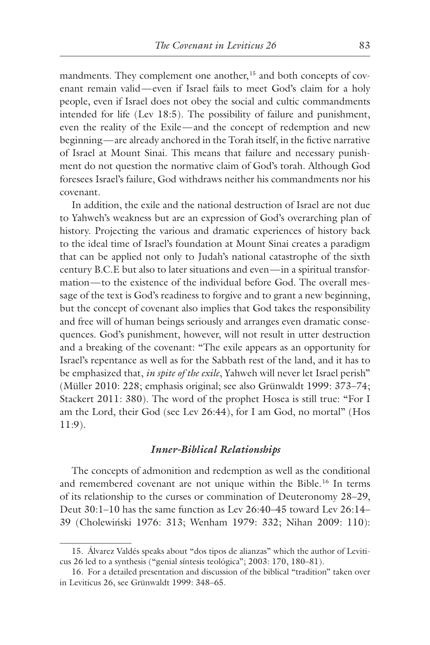mandments. They complement one another,<sup>15</sup> and both concepts of covenant remain valid—even if Israel fails to meet God's claim for a holy people, even if Israel does not obey the social and cultic commandments intended for life (Lev 18:5). The possibility of failure and punishment, even the reality of the Exile—and the concept of redemption and new beginning—are already anchored in the Torah itself, in the fictive narrative of Israel at Mount Sinai. This means that failure and necessary punishment do not question the normative claim of God's torah. Although God foresees Israel's failure, God withdraws neither his commandments nor his covenant.

In addition, the exile and the national destruction of Israel are not due to Yahweh's weakness but are an expression of God's overarching plan of history. Projecting the various and dramatic experiences of history back to the ideal time of Israel's foundation at Mount Sinai creates a paradigm that can be applied not only to Judah's national catastrophe of the sixth century B.C.E but also to later situations and even—in a spiritual transformation—to the existence of the individual before God. The overall message of the text is God's readiness to forgive and to grant a new beginning, but the concept of covenant also implies that God takes the responsibility and free will of human beings seriously and arranges even dramatic consequences. God's punishment, however, will not result in utter destruction and a breaking of the covenant: "The exile appears as an opportunity for Israel's repentance as well as for the Sabbath rest of the land, and it has to be emphasized that, *in spite of the exile*, Yahweh will never let Israel perish" (Müller 2010: 228; emphasis original; see also Grünwaldt 1999: 373–74; Stackert 2011: 380). The word of the prophet Hosea is still true: "For I am the Lord, their God (see Lev 26:44), for I am God, no mortal" (Hos 11:9).

#### *Inner-Biblical Relationships*

The concepts of admonition and redemption as well as the conditional and remembered covenant are not unique within the Bible.16 In terms of its relationship to the curses or commination of Deuteronomy 28–29, Deut 30:1–10 has the same function as Lev 26:40–45 toward Lev 26:14– 39 (Cholewiński 1976: 313; Wenham 1979: 332; Nihan 2009: 110):

<sup>15.</sup> Álvarez Valdés speaks about "dos tipos de alianzas" which the author of Leviticus 26 led to a synthesis ("genial síntesis teológica"; 2003: 170, 180–81).

<sup>16.</sup> For a detailed presentation and discussion of the biblical "tradition" taken over in Leviticus 26, see Grünwaldt 1999: 348–65.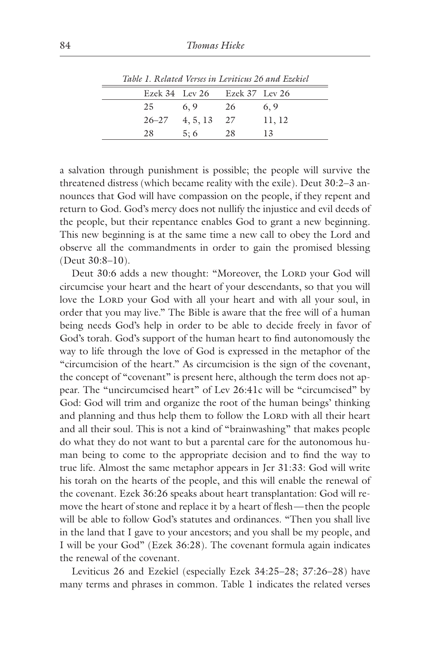|    | Ezek 34 Lev 26 Ezek 37 Lev 26 |     |        |
|----|-------------------------------|-----|--------|
| 25 | 6,9                           | -26 | 6, 9   |
|    | $26-27$ 4, 5, 13 27           |     | 11, 12 |
| 28 | 5:6                           | 28  | 13     |
|    |                               |     |        |

*Table 1. Related Verses in Leviticus 26 and Ezekiel*

a salvation through punishment is possible; the people will survive the threatened distress (which became reality with the exile). Deut 30:2–3 announces that God will have compassion on the people, if they repent and return to God. God's mercy does not nullify the injustice and evil deeds of the people, but their repentance enables God to grant a new beginning. This new beginning is at the same time a new call to obey the Lord and observe all the commandments in order to gain the promised blessing (Deut 30:8–10).

Deut 30:6 adds a new thought: "Moreover, the LORD your God will circumcise your heart and the heart of your descendants, so that you will love the LORD your God with all your heart and with all your soul, in order that you may live." The Bible is aware that the free will of a human being needs God's help in order to be able to decide freely in favor of God's torah. God's support of the human heart to find autonomously the way to life through the love of God is expressed in the metaphor of the "circumcision of the heart." As circumcision is the sign of the covenant, the concept of "covenant" is present here, although the term does not appear. The "uncircumcised heart" of Lev 26:41c will be "circumcised" by God: God will trim and organize the root of the human beings' thinking and planning and thus help them to follow the LORD with all their heart and all their soul. This is not a kind of "brainwashing" that makes people do what they do not want to but a parental care for the autonomous human being to come to the appropriate decision and to find the way to true life. Almost the same metaphor appears in Jer 31:33: God will write his torah on the hearts of the people, and this will enable the renewal of the covenant. Ezek 36:26 speaks about heart transplantation: God will remove the heart of stone and replace it by a heart of flesh—then the people will be able to follow God's statutes and ordinances. "Then you shall live in the land that I gave to your ancestors; and you shall be my people, and I will be your God" (Ezek 36:28). The covenant formula again indicates the renewal of the covenant.

Leviticus 26 and Ezekiel (especially Ezek 34:25–28; 37:26–28) have many terms and phrases in common. Table 1 indicates the related verses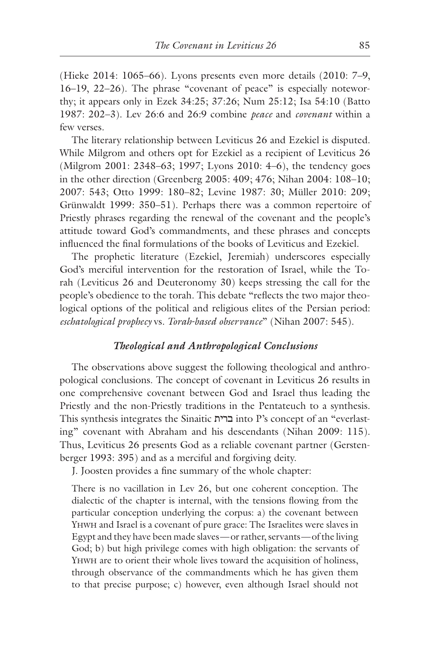(Hieke 2014: 1065–66). Lyons presents even more details (2010: 7–9, 16–19, 22–26). The phrase "covenant of peace" is especially noteworthy; it appears only in Ezek 34:25; 37:26; Num 25:12; Isa 54:10 (Batto 1987: 202–3). Lev 26:6 and 26:9 combine *peace* and *covenant* within a few verses.

The literary relationship between Leviticus 26 and Ezekiel is disputed. While Milgrom and others opt for Ezekiel as a recipient of Leviticus 26 (Milgrom 2001: 2348–63; 1997; Lyons 2010: 4–6), the tendency goes in the other direction (Greenberg 2005: 409; 476; Nihan 2004: 108–10; 2007: 543; Otto 1999: 180–82; Levine 1987: 30; Müller 2010: 209; Grünwaldt 1999: 350–51). Perhaps there was a common repertoire of Priestly phrases regarding the renewal of the covenant and the people's attitude toward God's commandments, and these phrases and concepts influenced the final formulations of the books of Leviticus and Ezekiel.

The prophetic literature (Ezekiel, Jeremiah) underscores especially God's merciful intervention for the restoration of Israel, while the Torah (Leviticus 26 and Deuteronomy 30) keeps stressing the call for the people's obedience to the torah. This debate "reflects the two major theological options of the political and religious elites of the Persian period: *eschatological prophecy* vs*. Torah-based observance*" (Nihan 2007: 545).

#### *Theological and Anthropological Conclusions*

The observations above suggest the following theological and anthropological conclusions. The concept of covenant in Leviticus 26 results in one comprehensive covenant between God and Israel thus leading the Priestly and the non-Priestly traditions in the Pentateuch to a synthesis. This synthesis integrates the Sinaitic ברית into P's concept of an "everlasting" covenant with Abraham and his descendants (Nihan 2009: 115). Thus, Leviticus 26 presents God as a reliable covenant partner (Gerstenberger 1993: 395) and as a merciful and forgiving deity.

J. Joosten provides a fine summary of the whole chapter:

There is no vacillation in Lev 26, but one coherent conception. The dialectic of the chapter is internal, with the tensions flowing from the particular conception underlying the corpus: a) the covenant between Yhwh and Israel is a covenant of pure grace: The Israelites were slaves in Egypt and they have been made slaves—or rather, servants—of the living God; b) but high privilege comes with high obligation: the servants of Yhwh are to orient their whole lives toward the acquisition of holiness, through observance of the commandments which he has given them to that precise purpose; c) however, even although Israel should not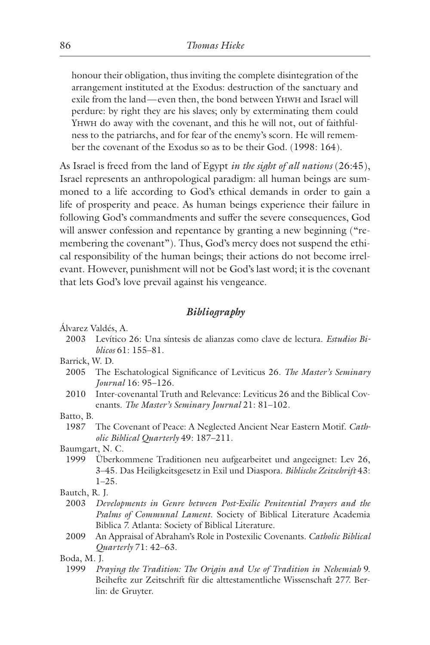honour their obligation, thus inviting the complete disintegration of the arrangement instituted at the Exodus: destruction of the sanctuary and exile from the land—even then, the bond between YHWH and Israel will perdure: by right they are his slaves; only by exterminating them could Yhwh do away with the covenant, and this he will not, out of faithfulness to the patriarchs, and for fear of the enemy's scorn. He will remember the covenant of the Exodus so as to be their God. (1998: 164).

As Israel is freed from the land of Egypt *in the sight of all nations* (26:45), Israel represents an anthropological paradigm: all human beings are summoned to a life according to God's ethical demands in order to gain a life of prosperity and peace. As human beings experience their failure in following God's commandments and suffer the severe consequences, God will answer confession and repentance by granting a new beginning ("remembering the covenant"). Thus, God's mercy does not suspend the ethical responsibility of the human beings; their actions do not become irrelevant. However, punishment will not be God's last word; it is the covenant that lets God's love prevail against his vengeance.

#### *Bibliography*

Álvarez Valdés, A.

2003 Levítico 26: Una síntesis de alianzas como clave de lectura. *Estudios Biblicos* 61: 155–81.

Barrick, W. D.

- 2005 The Eschatological Significance of Leviticus 26. *The Master's Seminary Journal* 16: 95–126.
- 2010 Inter-covenantal Truth and Relevance: Leviticus 26 and the Biblical Covenants. *The Master's Seminary Journal* 21: 81–102.

Batto, B.

1987 The Covenant of Peace: A Neglected Ancient Near Eastern Motif. *Catholic Biblical Quarterly* 49: 187–211.

Baumgart, N. C.

- 1999 Überkommene Traditionen neu aufgearbeitet und angeeignet: Lev 26, 3–45. Das Heiligkeitsgesetz in Exil und Diaspora. *Biblische Zeitschrift* 43: 1–25.
- Bautch, R. J.
	- 2003 *Developments in Genre between Post-Exilic Penitential Prayers and the Psalms of Communal Lament*. Society of Biblical Literature Academia Biblica 7. Atlanta: Society of Biblical Literature.
	- 2009 An Appraisal of Abraham's Role in Postexilic Covenants. *Catholic Biblical Quarterly* 71: 42–63.

Boda, M. J.

1999 *Praying the Tradition: The Origin and Use of Tradition in Nehemiah* 9. Beihefte zur Zeitschrift für die alttestamentliche Wissenschaft 277. Berlin: de Gruyter.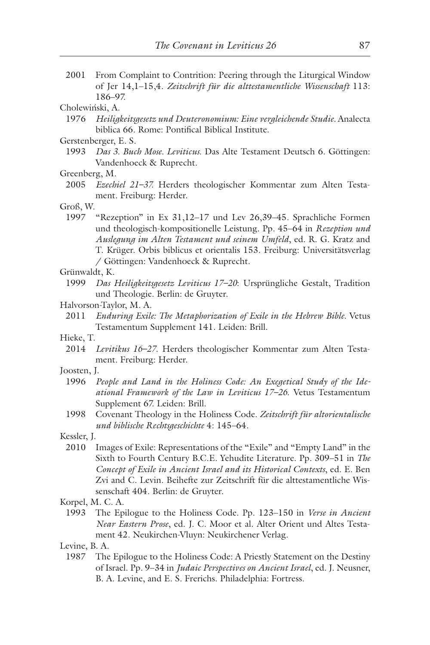2001 From Complaint to Contrition: Peering through the Liturgical Window of Jer 14,1–15,4. *Zeitschrift für die alttestamentliche Wissenschaft* 113: 186–97.

Cholewiński, A.

1976 *Heiligkeitsgesetz und Deuteronomium: Eine vergleichende Studie.* Analecta biblica 66. Rome: Pontifical Biblical Institute.

Gerstenberger, E. S.

- 1993 *Das 3. Buch Mose. Leviticus.* Das Alte Testament Deutsch 6. Göttingen: Vandenhoeck & Ruprecht.
- Greenberg, M.
- 2005 *Ezechiel 21–37.* Herders theologischer Kommentar zum Alten Testament. Freiburg: Herder.
- Groß, W.
	- 1997 "Rezeption" in Ex 31,12–17 und Lev 26,39–45. Sprachliche Formen und theologisch-kompositionelle Leistung. Pp. 45–64 in *Rezeption und Auslegung im Alten Testament und seinem Umfeld*, ed. R. G. Kratz and T. Krüger. Orbis biblicus et orientalis 153. Freiburg: Universitätsverlag / Göttingen: Vandenhoeck & Ruprecht.
- Grünwaldt, K.
	- 1999 *Das Heiligkeitsgesetz Leviticus 17–20*: Ursprüngliche Gestalt, Tradition und Theologie. Berlin: de Gruyter.
- Halvorson-Taylor, M. A.
	- 2011 *Enduring Exile: The Metaphorization of Exile in the Hebrew Bible.* Vetus Testamentum Supplement 141. Leiden: Brill.
- Hieke, T.
	- 2014 *Levitikus 16–27*. Herders theologischer Kommentar zum Alten Testament. Freiburg: Herder.
- Joosten, J.
	- 1996 *People and Land in the Holiness Code: An Exegetical Study of the Ideational Framework of the Law in Leviticus 17–26*. Vetus Testamentum Supplement 67. Leiden: Brill.
	- 1998 Covenant Theology in the Holiness Code. *Zeitschrift für altorientalische und biblische Rechtsgeschichte* 4: 145–64.

Kessler, J.

- 2010 Images of Exile: Representations of the "Exile" and "Empty Land" in the Sixth to Fourth Century B.C.E. Yehudite Literature. Pp. 309–51 in *The Concept of Exile in Ancient Israel and its Historical Contexts*, ed. E. Ben Zvi and C. Levin. Beihefte zur Zeitschrift für die alttestamentliche Wissenschaft 404. Berlin: de Gruyter.
- Korpel, M. C. A.
	- 1993 The Epilogue to the Holiness Code. Pp. 123–150 in *Verse in Ancient Near Eastern Prose*, ed. J. C. Moor et al. Alter Orient und Altes Testament 42. Neukirchen-Vluyn: Neukirchener Verlag.
- Levine, B. A.
	- 1987 The Epilogue to the Holiness Code: A Priestly Statement on the Destiny of Israel. Pp. 9–34 in *Judaic Perspectives on Ancient Israel*, ed. J. Neusner, B. A. Levine, and E. S. Frerichs. Philadelphia: Fortress.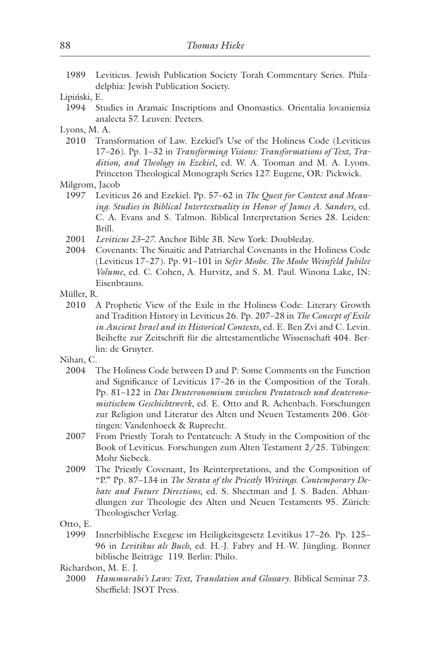- 1989 Leviticus. Jewish Publication Society Torah Commentary Series. Philadelphia: Jewish Publication Society.
- Lipiński, E.
	- 1994 Studies in Aramaic Inscriptions and Onomastics. Orientalia lovaniensia analecta 57. Leuven: Peeters.
- Lyons, M. A.
	- 2010 Transformation of Law. Ezekiel's Use of the Holiness Code (Leviticus 17–26). Pp. 1–32 in *Transforming Visions: Transformations of Text, Tradition, and Theology in Ezekiel*, ed. W. A. Tooman and M. A. Lyons. Princeton Theological Monograph Series 127. Eugene, OR: Pickwick.
- Milgrom, Jacob
	- 1997 Leviticus 26 and Ezekiel. Pp. 57–62 in *The Quest for Context and Meaning. Studies in Biblical Intertextuality in Honor of James A. Sanders*, ed. C. A. Evans and S. Talmon. Biblical Interpretation Series 28. Leiden: Brill.
	- 2001 *Leviticus 23–27*. Anchor Bible 3B. New York: Doubleday.
	- 2004 Covenants: The Sinaitic and Patriarchal Covenants in the Holiness Code (Leviticus 17–27). Pp. 91–101 in *Sefer Moshe. The Moshe Weinfeld Jubilee Volume*, ed. C. Cohen, A. Hurvitz, and S. M. Paul. Winona Lake, IN: Eisenbrauns.
- Müller, R.
	- 2010 A Prophetic View of the Exile in the Holiness Code: Literary Growth and Tradition History in Leviticus 26. Pp. 207–28 in *The Concept of Exile in Ancient Israel and its Historical Contexts*, ed. E. Ben Zvi and C. Levin. Beihefte zur Zeitschrift für die alttestamentliche Wissenschaft 404. Berlin: de Gruyter.
- Nihan, C.
- 2004 The Holiness Code between D and P: Some Comments on the Function and Significance of Leviticus 17–26 in the Composition of the Torah. Pp. 81–122 in *Das Deuteronomium zwischen Pentateuch und deuteronomistischem Geschichtswerk*, ed. E. Otto and R. Achenbach. Forschungen zur Religion und Literatur des Alten und Neuen Testaments 206. Göttingen: Vandenhoeck & Ruprecht.
- 2007 From Priestly Torah to Pentateuch: A Study in the Composition of the Book of Leviticus. Forschungen zum Alten Testament 2/25. Tübingen: Mohr Siebeck.
- 2009 The Priestly Covenant, Its Reinterpretations, and the Composition of "P." Pp. 87–134 in *The Strata of the Priestly Writings. Contemporary Debate and Future Directions*, ed. S. Shectman and J. S. Baden. Abhandlungen zur Theologie des Alten und Neuen Testaments 95. Zürich: Theologischer Verlag.
- Otto, E.
	- 1999 Innerbiblische Exegese im Heiligkeitsgesetz Levitikus 17–26. Pp. 125– 96 in *Levitikus als Buch*, ed. H.-J. Fabry and H.-W. Jüngling. Bonner biblische Beiträge 119. Berlin: Philo.

2000 *Hammurabi's Laws: Text, Translation and Glossary*. Biblical Seminar 73. Sheffield: JSOT Press.

Richardson, M. E. J.